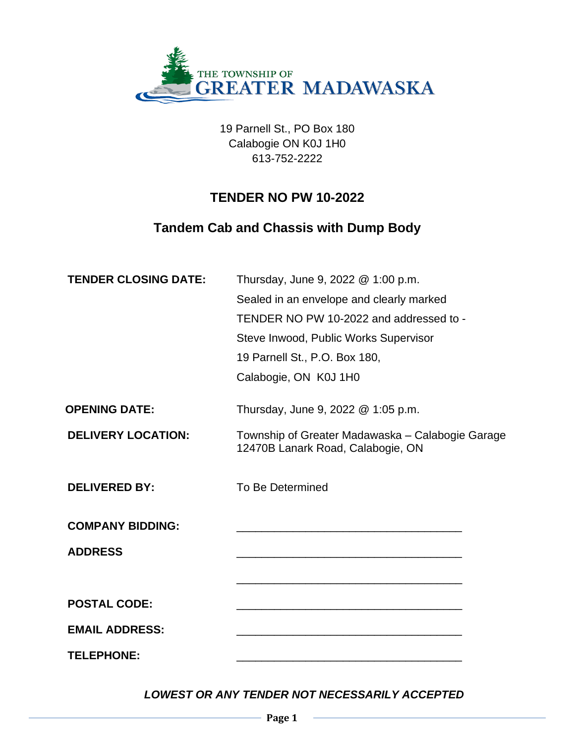

19 Parnell St., PO Box 180 Calabogie ON K0J 1H0 613-752-2222

## **TENDER NO PW 10-2022**

# **Tandem Cab and Chassis with Dump Body**

| <b>TENDER CLOSING DATE:</b> | Thursday, June 9, 2022 @ 1:00 p.m.                                                        |
|-----------------------------|-------------------------------------------------------------------------------------------|
|                             | Sealed in an envelope and clearly marked                                                  |
|                             | TENDER NO PW 10-2022 and addressed to -                                                   |
|                             | Steve Inwood, Public Works Supervisor                                                     |
|                             | 19 Parnell St., P.O. Box 180,                                                             |
|                             | Calabogie, ON K0J 1H0                                                                     |
| <b>OPENING DATE:</b>        | Thursday, June 9, 2022 @ 1:05 p.m.                                                        |
| <b>DELIVERY LOCATION:</b>   | Township of Greater Madawaska - Calabogie Garage<br>12470B Lanark Road, Calabogie, ON     |
| <b>DELIVERED BY:</b>        | To Be Determined                                                                          |
| <b>COMPANY BIDDING:</b>     |                                                                                           |
| <b>ADDRESS</b>              | the control of the control of the control of the control of the control of the control of |
|                             |                                                                                           |
| <b>POSTAL CODE:</b>         |                                                                                           |
| <b>EMAIL ADDRESS:</b>       |                                                                                           |
| <b>TELEPHONE:</b>           |                                                                                           |

*LOWEST OR ANY TENDER NOT NECESSARILY ACCEPTED*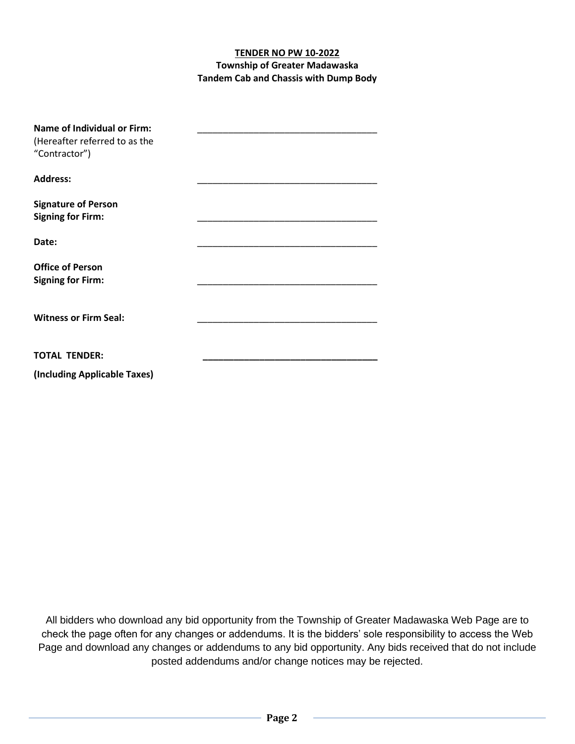#### **TENDER NO PW 10-2022 Township of Greater Madawaska Tandem Cab and Chassis with Dump Body**

| <b>Name of Individual or Firm:</b><br>(Hereafter referred to as the<br>"Contractor") |  |
|--------------------------------------------------------------------------------------|--|
| <b>Address:</b>                                                                      |  |
| <b>Signature of Person</b><br><b>Signing for Firm:</b>                               |  |
| Date:                                                                                |  |
| <b>Office of Person</b><br><b>Signing for Firm:</b>                                  |  |
| <b>Witness or Firm Seal:</b>                                                         |  |
| <b>TOTAL TENDER:</b>                                                                 |  |
| (Including Applicable Taxes)                                                         |  |

All bidders who download any bid opportunity from the Township of Greater Madawaska Web Page are to check the page often for any changes or addendums. It is the bidders' sole responsibility to access the Web Page and download any changes or addendums to any bid opportunity. Any bids received that do not include posted addendums and/or change notices may be rejected.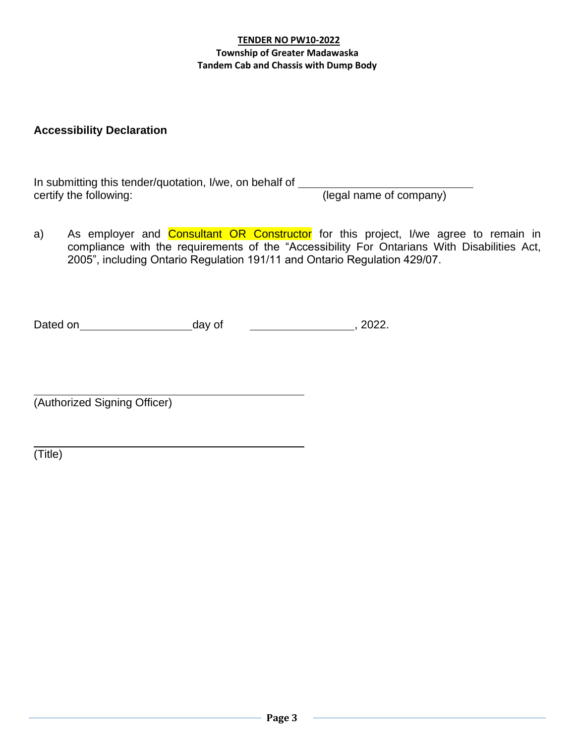#### **TENDER NO PW10-2022 Township of Greater Madawaska Tandem Cab and Chassis with Dump Body**

## **Accessibility Declaration**

In submitting this tender/quotation, I/we, on behalf of certify the following: (legal name of company)

a) As employer and **Consultant OR Constructor** for this project, I/we agree to remain in compliance with the requirements of the "Accessibility For Ontarians With Disabilities Act, 2005", including Ontario Regulation 191/11 and Ontario Regulation 429/07.

| Dated on | day of | 2022. |
|----------|--------|-------|
|----------|--------|-------|

(Authorized Signing Officer)

(Title)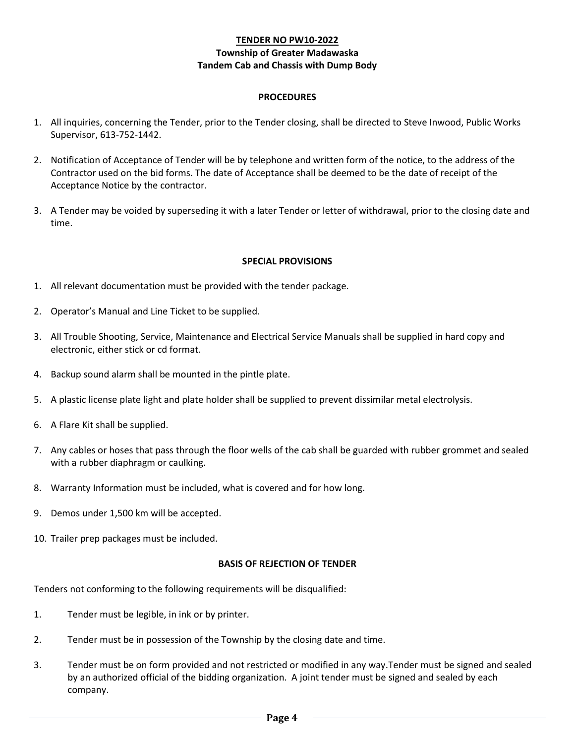#### **TENDER NO PW10-2022 Township of Greater Madawaska Tandem Cab and Chassis with Dump Body**

#### **PROCEDURES**

- 1. All inquiries, concerning the Tender, prior to the Tender closing, shall be directed to Steve Inwood, Public Works Supervisor, 613-752-1442.
- 2. Notification of Acceptance of Tender will be by telephone and written form of the notice, to the address of the Contractor used on the bid forms. The date of Acceptance shall be deemed to be the date of receipt of the Acceptance Notice by the contractor.
- 3. A Tender may be voided by superseding it with a later Tender or letter of withdrawal, prior to the closing date and time.

#### **SPECIAL PROVISIONS**

- 1. All relevant documentation must be provided with the tender package.
- 2. Operator's Manual and Line Ticket to be supplied.
- 3. All Trouble Shooting, Service, Maintenance and Electrical Service Manuals shall be supplied in hard copy and electronic, either stick or cd format.
- 4. Backup sound alarm shall be mounted in the pintle plate.
- 5. A plastic license plate light and plate holder shall be supplied to prevent dissimilar metal electrolysis.
- 6. A Flare Kit shall be supplied.
- 7. Any cables or hoses that pass through the floor wells of the cab shall be guarded with rubber grommet and sealed with a rubber diaphragm or caulking.
- 8. Warranty Information must be included, what is covered and for how long.
- 9. Demos under 1,500 km will be accepted.
- 10. Trailer prep packages must be included.

#### **BASIS OF REJECTION OF TENDER**

Tenders not conforming to the following requirements will be disqualified:

- 1. Tender must be legible, in ink or by printer.
- 2. Tender must be in possession of the Township by the closing date and time.
- 3. Tender must be on form provided and not restricted or modified in any way.Tender must be signed and sealed by an authorized official of the bidding organization. A joint tender must be signed and sealed by each company.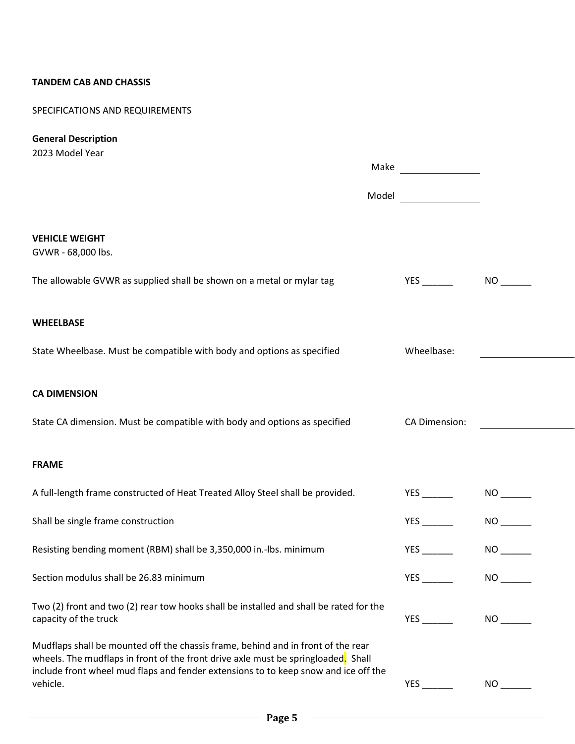#### **TANDEM CAB AND CHASSIS**

### SPECIFICATIONS AND REQUIREMENTS

## **General Description**

| 2023 Model Year                                                                                                                                                                                                                                                                        |                        |                        |  |
|----------------------------------------------------------------------------------------------------------------------------------------------------------------------------------------------------------------------------------------------------------------------------------------|------------------------|------------------------|--|
|                                                                                                                                                                                                                                                                                        | Model ________________ |                        |  |
|                                                                                                                                                                                                                                                                                        |                        |                        |  |
| <b>VEHICLE WEIGHT</b><br>GVWR - 68,000 lbs.                                                                                                                                                                                                                                            |                        |                        |  |
| The allowable GVWR as supplied shall be shown on a metal or mylar tag                                                                                                                                                                                                                  |                        | $NO$ <sub>------</sub> |  |
| <b>WHEELBASE</b>                                                                                                                                                                                                                                                                       |                        |                        |  |
| State Wheelbase. Must be compatible with body and options as specified                                                                                                                                                                                                                 | Wheelbase:             |                        |  |
| <b>CA DIMENSION</b>                                                                                                                                                                                                                                                                    |                        |                        |  |
| State CA dimension. Must be compatible with body and options as specified                                                                                                                                                                                                              | CA Dimension:          |                        |  |
| <b>FRAME</b>                                                                                                                                                                                                                                                                           |                        |                        |  |
| A full-length frame constructed of Heat Treated Alloy Steel shall be provided.                                                                                                                                                                                                         |                        |                        |  |
| Shall be single frame construction                                                                                                                                                                                                                                                     |                        |                        |  |
| Resisting bending moment (RBM) shall be 3,350,000 in.-lbs. minimum                                                                                                                                                                                                                     |                        | $NO$ <sub>_____</sub>  |  |
| Section modulus shall be 26.83 minimum                                                                                                                                                                                                                                                 |                        | $NO$ <sub>------</sub> |  |
| Two (2) front and two (2) rear tow hooks shall be installed and shall be rated for the<br>capacity of the truck                                                                                                                                                                        | YES                    | $NO$ <sub>-----</sub>  |  |
| Mudflaps shall be mounted off the chassis frame, behind and in front of the rear<br>wheels. The mudflaps in front of the front drive axle must be springloaded <mark>.</mark> Shall<br>include front wheel mud flaps and fender extensions to to keep snow and ice off the<br>vehicle. |                        | NO <sub>2</sub>        |  |
|                                                                                                                                                                                                                                                                                        |                        |                        |  |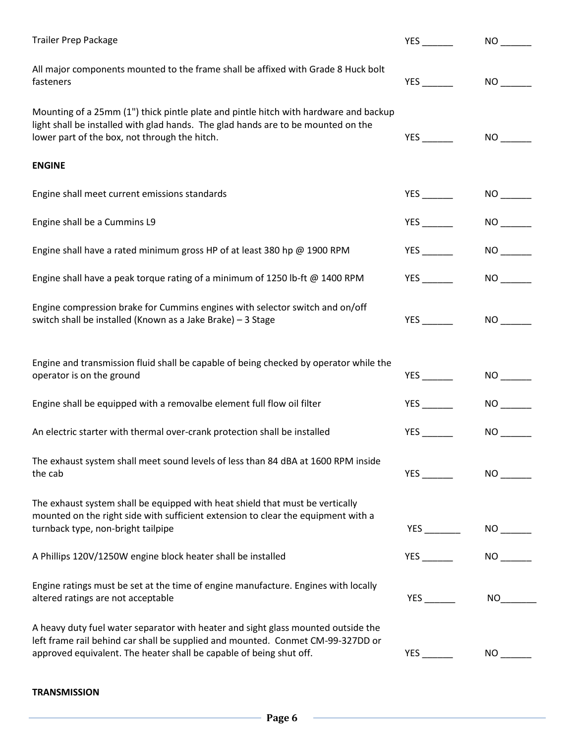| <b>Trailer Prep Package</b>                                                                                                                                                                                                                 | $YES$ <sub>---</sub>       | NO <sub>2</sub>        |
|---------------------------------------------------------------------------------------------------------------------------------------------------------------------------------------------------------------------------------------------|----------------------------|------------------------|
| All major components mounted to the frame shall be affixed with Grade 8 Huck bolt<br>fasteners                                                                                                                                              |                            | NO <sub>2</sub>        |
| Mounting of a 25mm (1") thick pintle plate and pintle hitch with hardware and backup<br>light shall be installed with glad hands. The glad hands are to be mounted on the<br>lower part of the box, not through the hitch.                  | YES                        |                        |
| <b>ENGINE</b>                                                                                                                                                                                                                               |                            |                        |
| Engine shall meet current emissions standards                                                                                                                                                                                               |                            |                        |
| Engine shall be a Cummins L9                                                                                                                                                                                                                | $YES$ <sub>---------</sub> | NO <sub>2</sub>        |
| Engine shall have a rated minimum gross HP of at least 380 hp @ 1900 RPM                                                                                                                                                                    |                            | NO                     |
| Engine shall have a peak torque rating of a minimum of 1250 lb-ft $@$ 1400 RPM                                                                                                                                                              |                            | NO <sub>2</sub>        |
| Engine compression brake for Cummins engines with selector switch and on/off<br>switch shall be installed (Known as a Jake Brake) - 3 Stage                                                                                                 | $YES$ <sub>_____</sub>     |                        |
| Engine and transmission fluid shall be capable of being checked by operator while the<br>operator is on the ground                                                                                                                          |                            | NO                     |
| Engine shall be equipped with a removalbe element full flow oil filter                                                                                                                                                                      |                            | NO                     |
| An electric starter with thermal over-crank protection shall be installed                                                                                                                                                                   | <b>YES</b>                 | NO <sub>2</sub>        |
| The exhaust system shall meet sound levels of less than 84 dBA at 1600 RPM inside<br>the cab                                                                                                                                                |                            |                        |
| The exhaust system shall be equipped with heat shield that must be vertically<br>mounted on the right side with sufficient extension to clear the equipment with a<br>turnback type, non-bright tailpipe                                    |                            | $NO$ <sub>------</sub> |
| A Phillips 120V/1250W engine block heater shall be installed                                                                                                                                                                                |                            | NO                     |
| Engine ratings must be set at the time of engine manufacture. Engines with locally<br>altered ratings are not acceptable                                                                                                                    |                            | NO <sub>2</sub>        |
| A heavy duty fuel water separator with heater and sight glass mounted outside the<br>left frame rail behind car shall be supplied and mounted. Conmet CM-99-327DD or<br>approved equivalent. The heater shall be capable of being shut off. |                            |                        |

#### **TRANSMISSION**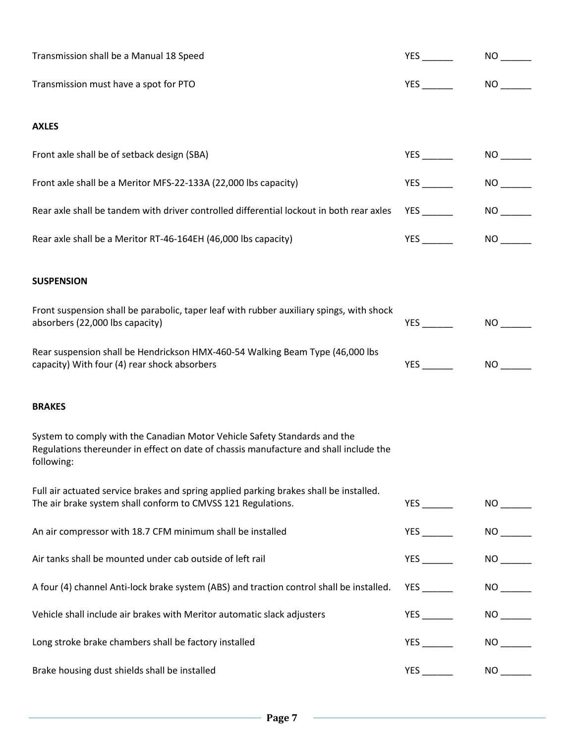| Transmission shall be a Manual 18 Speed                                                                                                                                          | <b>YES</b>                | NO <sub>2</sub>         |
|----------------------------------------------------------------------------------------------------------------------------------------------------------------------------------|---------------------------|-------------------------|
| Transmission must have a spot for PTO                                                                                                                                            |                           | NO <sub>2</sub>         |
|                                                                                                                                                                                  |                           |                         |
| <b>AXLES</b>                                                                                                                                                                     |                           |                         |
| Front axle shall be of setback design (SBA)                                                                                                                                      | YES                       | $NO$ <sub>-------</sub> |
| Front axle shall be a Meritor MFS-22-133A (22,000 lbs capacity)                                                                                                                  |                           | NO <sub>2</sub>         |
| Rear axle shall be tandem with driver controlled differential lockout in both rear axles                                                                                         | $YES$ <sub>____</sub>     | NO <sub>2</sub>         |
| Rear axle shall be a Meritor RT-46-164EH (46,000 lbs capacity)                                                                                                                   |                           | NO                      |
|                                                                                                                                                                                  |                           |                         |
| <b>SUSPENSION</b>                                                                                                                                                                |                           |                         |
| Front suspension shall be parabolic, taper leaf with rubber auxiliary spings, with shock<br>absorbers (22,000 lbs capacity)                                                      |                           | NO                      |
| Rear suspension shall be Hendrickson HMX-460-54 Walking Beam Type (46,000 lbs<br>capacity) With four (4) rear shock absorbers                                                    |                           |                         |
| <b>BRAKES</b>                                                                                                                                                                    |                           |                         |
| System to comply with the Canadian Motor Vehicle Safety Standards and the<br>Regulations thereunder in effect on date of chassis manufacture and shall include the<br>following: |                           |                         |
| Full air actuated service brakes and spring applied parking brakes shall be installed.<br>The air brake system shall conform to CMVSS 121 Regulations.                           | $YES$ $\qquad$            |                         |
| An air compressor with 18.7 CFM minimum shall be installed                                                                                                                       | YES                       | NO <sub>2</sub>         |
| Air tanks shall be mounted under cab outside of left rail                                                                                                                        |                           |                         |
| A four (4) channel Anti-lock brake system (ABS) and traction control shall be installed.                                                                                         |                           |                         |
| Vehicle shall include air brakes with Meritor automatic slack adjusters                                                                                                          | $YES$ <sub>----</sub>     |                         |
| Long stroke brake chambers shall be factory installed                                                                                                                            |                           | NO                      |
| Brake housing dust shields shall be installed                                                                                                                                    | $YES$ <sub>--------</sub> |                         |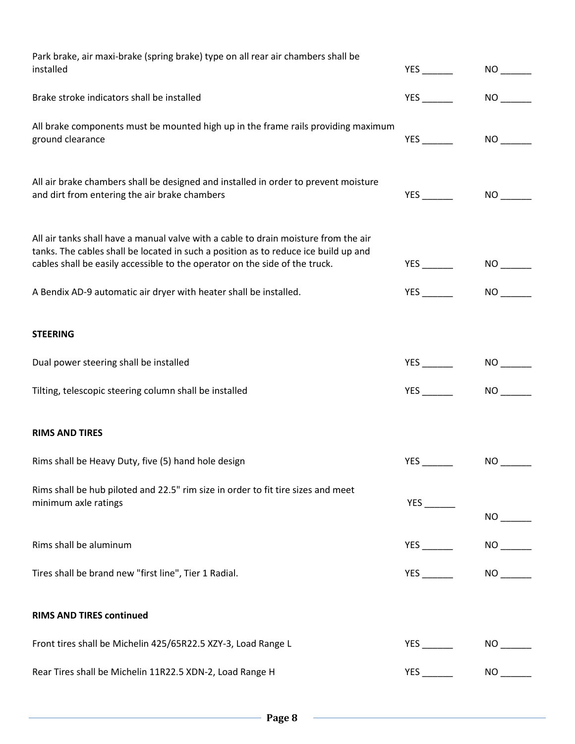| Park brake, air maxi-brake (spring brake) type on all rear air chambers shall be<br>installed                                                                                                                                                             | <b>YES</b>              | NO <sub>2</sub>       |
|-----------------------------------------------------------------------------------------------------------------------------------------------------------------------------------------------------------------------------------------------------------|-------------------------|-----------------------|
| Brake stroke indicators shall be installed                                                                                                                                                                                                                | YES                     | NO <sub>1</sub>       |
| All brake components must be mounted high up in the frame rails providing maximum<br>ground clearance                                                                                                                                                     | $YES$ <sub>------</sub> | NO <sub>2</sub>       |
| All air brake chambers shall be designed and installed in order to prevent moisture<br>and dirt from entering the air brake chambers                                                                                                                      |                         | NO                    |
| All air tanks shall have a manual valve with a cable to drain moisture from the air<br>tanks. The cables shall be located in such a position as to reduce ice build up and<br>cables shall be easily accessible to the operator on the side of the truck. | YES                     | NO <sub>2</sub>       |
| A Bendix AD-9 automatic air dryer with heater shall be installed.                                                                                                                                                                                         | YES                     | NO <sub>2</sub>       |
| <b>STEERING</b>                                                                                                                                                                                                                                           |                         |                       |
| Dual power steering shall be installed                                                                                                                                                                                                                    | $YES$ <sub>_____</sub>  | NO                    |
| Tilting, telescopic steering column shall be installed                                                                                                                                                                                                    | YES                     | NO                    |
| <b>RIMS AND TIRES</b>                                                                                                                                                                                                                                     |                         |                       |
| Rims shall be Heavy Duty, five (5) hand hole design                                                                                                                                                                                                       | YES                     | NO <sub>1</sub>       |
| Rims shall be hub piloted and 22.5" rim size in order to fit tire sizes and meet<br>minimum axle ratings                                                                                                                                                  | $YES$ ——                | $NO$ <sub>-----</sub> |
| Rims shall be aluminum                                                                                                                                                                                                                                    |                         |                       |
| Tires shall be brand new "first line", Tier 1 Radial.                                                                                                                                                                                                     |                         | NO <sub>2</sub>       |
| <b>RIMS AND TIRES continued</b>                                                                                                                                                                                                                           |                         |                       |
| Front tires shall be Michelin 425/65R22.5 XZY-3, Load Range L                                                                                                                                                                                             |                         | $NO$ <sub>---</sub>   |
| Rear Tires shall be Michelin 11R22.5 XDN-2, Load Range H                                                                                                                                                                                                  |                         |                       |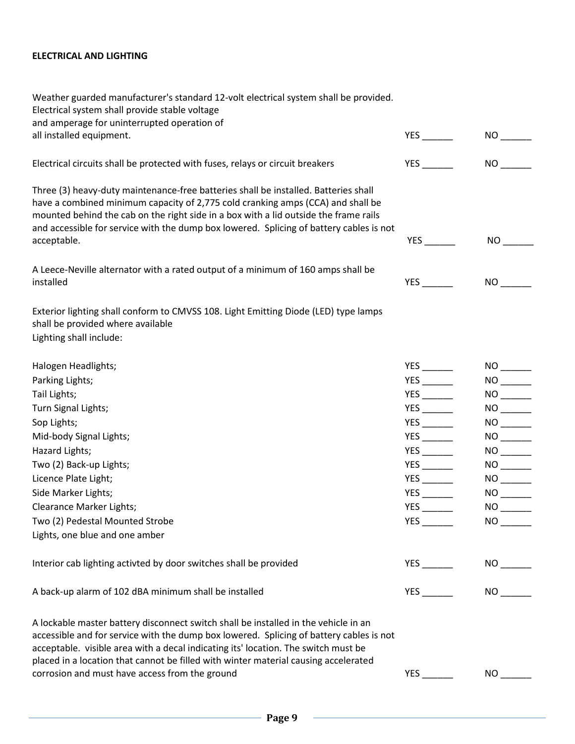#### **ELECTRICAL AND LIGHTING**

| Weather guarded manufacturer's standard 12-volt electrical system shall be provided.<br>Electrical system shall provide stable voltage<br>and amperage for uninterrupted operation of                                                                                                                                                                     |                            |                        |
|-----------------------------------------------------------------------------------------------------------------------------------------------------------------------------------------------------------------------------------------------------------------------------------------------------------------------------------------------------------|----------------------------|------------------------|
| all installed equipment.                                                                                                                                                                                                                                                                                                                                  | $YES$ <sub>_____</sub>     | NO <sub>2</sub>        |
| Electrical circuits shall be protected with fuses, relays or circuit breakers                                                                                                                                                                                                                                                                             | $YES$ <sub>______</sub>    | NO <sub>2</sub>        |
| Three (3) heavy-duty maintenance-free batteries shall be installed. Batteries shall<br>have a combined minimum capacity of 2,775 cold cranking amps (CCA) and shall be<br>mounted behind the cab on the right side in a box with a lid outside the frame rails<br>and accessible for service with the dump box lowered. Splicing of battery cables is not |                            |                        |
| acceptable.                                                                                                                                                                                                                                                                                                                                               | $YES$ <sub>------</sub>    | NO <sub>2</sub>        |
| A Leece-Neville alternator with a rated output of a minimum of 160 amps shall be                                                                                                                                                                                                                                                                          |                            |                        |
| installed                                                                                                                                                                                                                                                                                                                                                 | YES                        |                        |
| Exterior lighting shall conform to CMVSS 108. Light Emitting Diode (LED) type lamps<br>shall be provided where available                                                                                                                                                                                                                                  |                            |                        |
| Lighting shall include:                                                                                                                                                                                                                                                                                                                                   |                            |                        |
| Halogen Headlights;                                                                                                                                                                                                                                                                                                                                       |                            | $NO$ <sub>-----</sub>  |
| Parking Lights;                                                                                                                                                                                                                                                                                                                                           |                            |                        |
| Tail Lights;                                                                                                                                                                                                                                                                                                                                              | $YES$ <sub>_____</sub>     |                        |
| Turn Signal Lights;                                                                                                                                                                                                                                                                                                                                       |                            |                        |
| Sop Lights;                                                                                                                                                                                                                                                                                                                                               |                            |                        |
| Mid-body Signal Lights;                                                                                                                                                                                                                                                                                                                                   | $YES$ ——                   |                        |
| Hazard Lights;                                                                                                                                                                                                                                                                                                                                            |                            |                        |
| Two (2) Back-up Lights;                                                                                                                                                                                                                                                                                                                                   |                            |                        |
| Licence Plate Light;                                                                                                                                                                                                                                                                                                                                      |                            |                        |
| Side Marker Lights;                                                                                                                                                                                                                                                                                                                                       |                            |                        |
| Clearance Marker Lights:                                                                                                                                                                                                                                                                                                                                  |                            | $NO_{-}$               |
| Two (2) Pedestal Mounted Strobe                                                                                                                                                                                                                                                                                                                           | $YES$ <sub>---------</sub> |                        |
| Lights, one blue and one amber                                                                                                                                                                                                                                                                                                                            |                            |                        |
| Interior cab lighting activted by door switches shall be provided                                                                                                                                                                                                                                                                                         | YES ______                 | $NO$ <sub>------</sub> |
| A back-up alarm of 102 dBA minimum shall be installed                                                                                                                                                                                                                                                                                                     |                            |                        |
| A lockable master battery disconnect switch shall be installed in the vehicle in an                                                                                                                                                                                                                                                                       |                            |                        |

accessible and for service with the dump box lowered. Splicing of battery cables is not

acceptable. visible area with a decal indicating its' location. The switch must be placed in a location that cannot be filled with winter material causing accelerated  $\frac{1}{2}$  corrosion and must have access from the ground  $\frac{1}{2}$   $\frac{1}{2}$   $\frac{1}{2}$   $\frac{1}{2}$   $\frac{1}{2}$   $\frac{1}{2}$   $\frac{1}{2}$   $\frac{1}{2}$   $\frac{1}{2}$   $\frac{1}{2}$   $\frac{1}{2}$   $\frac{1}{2}$   $\frac{1}{2}$   $\frac{1}{2}$   $\frac{1}{2}$   $\frac{1}{2}$   $\frac{$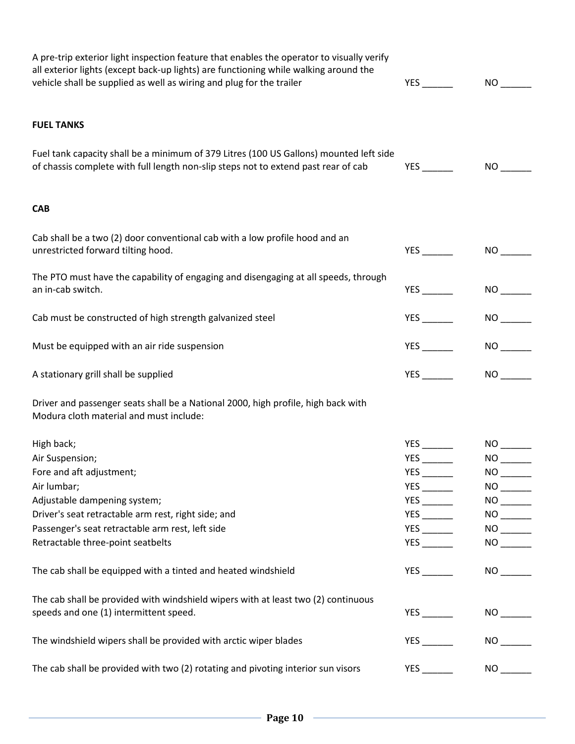| A pre-trip exterior light inspection feature that enables the operator to visually verify<br>all exterior lights (except back-up lights) are functioning while walking around the<br>vehicle shall be supplied as well as wiring and plug for the trailer | <b>YES</b>                 | NO <sub>2</sub>       |
|-----------------------------------------------------------------------------------------------------------------------------------------------------------------------------------------------------------------------------------------------------------|----------------------------|-----------------------|
| <b>FUEL TANKS</b>                                                                                                                                                                                                                                         |                            |                       |
| Fuel tank capacity shall be a minimum of 379 Litres (100 US Gallons) mounted left side<br>of chassis complete with full length non-slip steps not to extend past rear of cab                                                                              | YES                        | NO                    |
| <b>CAB</b>                                                                                                                                                                                                                                                |                            |                       |
| Cab shall be a two (2) door conventional cab with a low profile hood and an<br>unrestricted forward tilting hood.                                                                                                                                         |                            | NO <sub>2</sub>       |
| The PTO must have the capability of engaging and disengaging at all speeds, through<br>an in-cab switch.                                                                                                                                                  | $YES$ <sub>-----</sub>     | NO                    |
| Cab must be constructed of high strength galvanized steel                                                                                                                                                                                                 | $YES$ $\qquad$             | NO <sub>2</sub>       |
| Must be equipped with an air ride suspension                                                                                                                                                                                                              |                            | NO                    |
| A stationary grill shall be supplied                                                                                                                                                                                                                      |                            | NO <sub>2</sub>       |
| Driver and passenger seats shall be a National 2000, high profile, high back with<br>Modura cloth material and must include:                                                                                                                              |                            |                       |
| High back;                                                                                                                                                                                                                                                |                            | NO <sub>2</sub>       |
| Air Suspension;                                                                                                                                                                                                                                           |                            | NO                    |
| Fore and aft adjustment;                                                                                                                                                                                                                                  | $YES$ ——                   |                       |
| Air lumbar;                                                                                                                                                                                                                                               | $YES$ <sub>--------</sub>  |                       |
| Adjustable dampening system;                                                                                                                                                                                                                              |                            | $NO$ <sub>-----</sub> |
| Driver's seat retractable arm rest, right side; and                                                                                                                                                                                                       | $YES$ <sub>____</sub>      |                       |
| Passenger's seat retractable arm rest, left side                                                                                                                                                                                                          | $YES$ <sub>---------</sub> |                       |
| Retractable three-point seatbelts                                                                                                                                                                                                                         | $YES$ <sub>____</sub>      |                       |
| The cab shall be equipped with a tinted and heated windshield                                                                                                                                                                                             | <b>YES</b>                 | NO <sub>2</sub>       |
| The cab shall be provided with windshield wipers with at least two (2) continuous<br>speeds and one (1) intermittent speed.                                                                                                                               |                            |                       |
|                                                                                                                                                                                                                                                           |                            |                       |
| The windshield wipers shall be provided with arctic wiper blades                                                                                                                                                                                          | <b>YES</b>                 | NO <sub>2</sub>       |
| The cab shall be provided with two (2) rotating and pivoting interior sun visors                                                                                                                                                                          |                            |                       |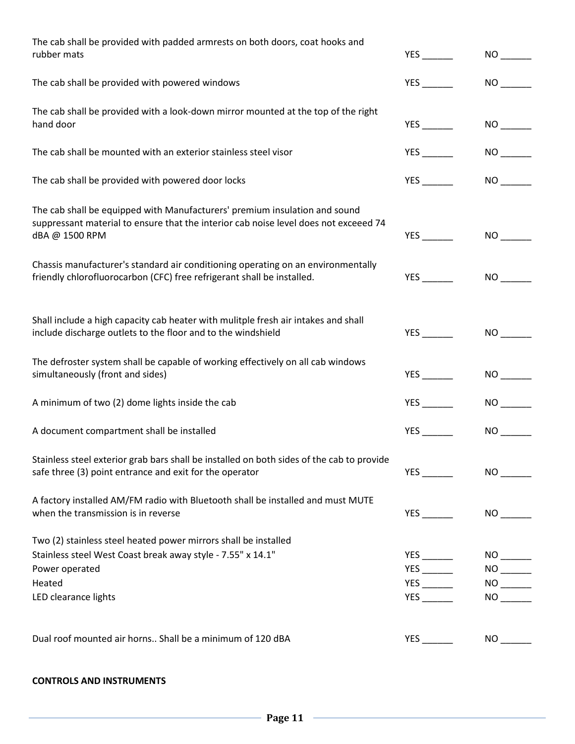| The cab shall be provided with padded armrests on both doors, coat hooks and<br>rubber mats                                                                                          |                | NO <sub>2</sub>     |
|--------------------------------------------------------------------------------------------------------------------------------------------------------------------------------------|----------------|---------------------|
| The cab shall be provided with powered windows                                                                                                                                       | <b>YES</b>     | NO <sub>2</sub>     |
| The cab shall be provided with a look-down mirror mounted at the top of the right<br>hand door                                                                                       |                |                     |
| The cab shall be mounted with an exterior stainless steel visor                                                                                                                      |                | NO <sub>2</sub>     |
| The cab shall be provided with powered door locks                                                                                                                                    |                | NO <sub>2</sub>     |
| The cab shall be equipped with Manufacturers' premium insulation and sound<br>suppressant material to ensure that the interior cab noise level does not exceeed 74<br>dBA @ 1500 RPM |                | NO <sub>2</sub>     |
| Chassis manufacturer's standard air conditioning operating on an environmentally<br>friendly chlorofluorocarbon (CFC) free refrigerant shall be installed.                           |                | NO <sub>2</sub>     |
| Shall include a high capacity cab heater with mulitple fresh air intakes and shall<br>include discharge outlets to the floor and to the windshield                                   |                | NO <sub>2</sub>     |
| The defroster system shall be capable of working effectively on all cab windows<br>simultaneously (front and sides)                                                                  | $YES$ $\qquad$ | NO <sub>2</sub>     |
| A minimum of two (2) dome lights inside the cab                                                                                                                                      | <b>YES</b>     | NO <sub>2</sub>     |
| A document compartment shall be installed                                                                                                                                            | <b>YES</b>     | NO <sub>2</sub>     |
| Stainless steel exterior grab bars shall be installed on both sides of the cab to provide<br>safe three (3) point entrance and exit for the operator                                 |                | NO <sub>2</sub>     |
| A factory installed AM/FM radio with Bluetooth shall be installed and must MUTE<br>when the transmission is in reverse                                                               |                |                     |
| Two (2) stainless steel heated power mirrors shall be installed<br>Stainless steel West Coast break away style - 7.55" x 14.1"                                                       |                |                     |
| Power operated                                                                                                                                                                       |                | NO                  |
| Heated                                                                                                                                                                               |                |                     |
| LED clearance lights                                                                                                                                                                 | $YES$ $\qquad$ | NO <sub>2</sub>     |
|                                                                                                                                                                                      |                |                     |
| Dual roof mounted air horns Shall be a minimum of 120 dBA                                                                                                                            | <b>YES</b>     | $NO$ <sub>---</sub> |

#### **CONTROLS AND INSTRUMENTS**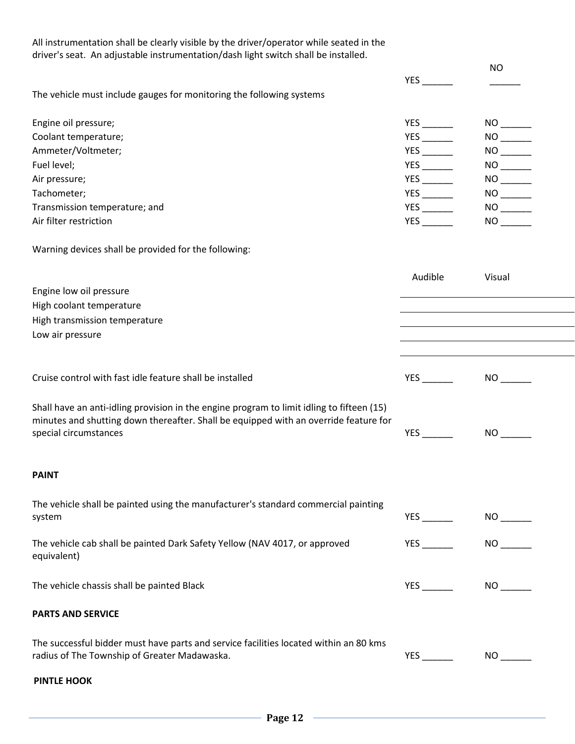All instrumentation shall be clearly visible by the driver/operator while seated in the driver's seat. An adjustable instrumentation/dash light switch shall be installed. YES \_\_\_\_\_\_ NO  $\overline{\phantom{a}}$ The vehicle must include gauges for monitoring the following systems Engine oil pressure; No and the set of the set of the set of the set of the Second Second Second Second Second Second Second Second Second Second Second Second Second Second Second Second Second Second Second Second Second Coolant temperature;  $\begin{array}{ccc} \text{NLO} & \text{NLO} & \text{NLO} \end{array}$ Ammeter/Voltmeter; YES \_\_\_\_\_\_\_ NO \_\_\_\_\_\_\_ Fuel level; YES \_\_\_\_\_\_ NO \_\_\_\_\_\_ Air pressure; YES \_\_\_\_\_\_ NO \_\_\_\_\_\_ Tachometer; YES \_\_\_\_\_\_ NO \_\_\_\_\_\_ Transmission temperature; and  $YES$  and  $YES$  and  $YES$  and  $YES$  and  $YES$  and  $YES$  and  $YES$  and  $YES$  and  $YES$  and  $YES$  and  $YES$  and  $YES$  and  $YES$  and  $YES$  and  $YES$  and  $YES$  and  $YES$  and  $YES$  and  $YES$  and  $YES$  and  $YES$  and  $YES$ Air filter restriction YES \_\_\_\_\_\_ NO \_\_\_\_\_\_ Warning devices shall be provided for the following: Audible Visual Engine low oil pressure High coolant temperature High transmission temperature Low air pressure Cruise control with fast idle feature shall be installed VES THE VES Shall have an anti-idling provision in the engine program to limit idling to fifteen (15) minutes and shutting down thereafter. Shall be equipped with an override feature for special circumstances  $YES$  and  $YES$ **PAINT** The vehicle shall be painted using the manufacturer's standard commercial painting system NO \_\_\_\_\_\_\_ NO \_\_\_\_\_\_ NO \_\_\_\_\_ NO \_\_\_\_\_ NO \_\_\_\_\_ NO \_\_\_\_\_ NO \_\_\_\_\_\_ NO \_\_\_\_ The vehicle cab shall be painted Dark Safety Yellow (NAV 4017, or approved equivalent) YES NO The vehicle chassis shall be painted Black The vehicle chassis shall be painted Black **PARTS AND SERVICE** The successful bidder must have parts and service facilities located within an 80 kms radius of The Township of Greater Madawaska. The VES Control of The Township of Greater Madawaska.

#### **PINTLE HOOK**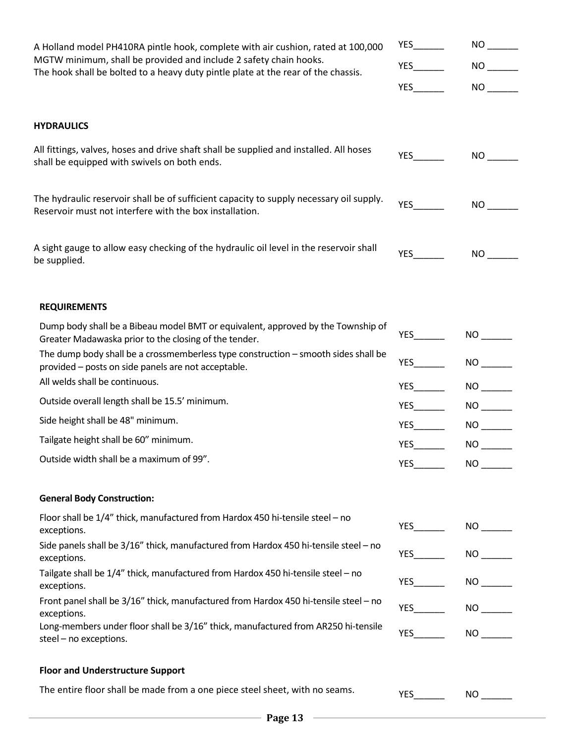| A Holland model PH410RA pintle hook, complete with air cushion, rated at 100,000<br>MGTW minimum, shall be provided and include 2 safety chain hooks.<br>The hook shall be bolted to a heavy duty pintle plate at the rear of the chassis. |                           |                          |
|--------------------------------------------------------------------------------------------------------------------------------------------------------------------------------------------------------------------------------------------|---------------------------|--------------------------|
|                                                                                                                                                                                                                                            |                           |                          |
|                                                                                                                                                                                                                                            | YES                       |                          |
| <b>HYDRAULICS</b>                                                                                                                                                                                                                          |                           |                          |
| All fittings, valves, hoses and drive shaft shall be supplied and installed. All hoses<br>shall be equipped with swivels on both ends.                                                                                                     |                           |                          |
| The hydraulic reservoir shall be of sufficient capacity to supply necessary oil supply.<br>Reservoir must not interfere with the box installation.                                                                                         |                           | NO <sub>2</sub>          |
| A sight gauge to allow easy checking of the hydraulic oil level in the reservoir shall<br>be supplied.                                                                                                                                     |                           |                          |
| <b>REQUIREMENTS</b>                                                                                                                                                                                                                        |                           |                          |
| Dump body shall be a Bibeau model BMT or equivalent, approved by the Township of<br>Greater Madawaska prior to the closing of the tender.                                                                                                  | <b>YES</b>                | NO                       |
| The dump body shall be a crossmemberless type construction - smooth sides shall be<br>provided – posts on side panels are not acceptable.                                                                                                  | YES                       | NO                       |
| All welds shall be continuous.                                                                                                                                                                                                             | YES                       | NO                       |
| Outside overall length shall be 15.5' minimum.                                                                                                                                                                                             | $YES$ <sub>________</sub> |                          |
| Side height shall be 48" minimum.                                                                                                                                                                                                          |                           |                          |
| Tailgate height shall be 60" minimum.                                                                                                                                                                                                      |                           | NO                       |
| Outside width shall be a maximum of 99".                                                                                                                                                                                                   | <b>YES Note</b>           | NO                       |
| <b>General Body Construction:</b>                                                                                                                                                                                                          |                           |                          |
| Floor shall be 1/4" thick, manufactured from Hardox 450 hi-tensile steel - no<br>exceptions.                                                                                                                                               | YES                       |                          |
| Side panels shall be 3/16" thick, manufactured from Hardox 450 hi-tensile steel - no<br>exceptions.                                                                                                                                        |                           |                          |
| Tailgate shall be 1/4" thick, manufactured from Hardox 450 hi-tensile steel - no<br>exceptions.<br>Front panel shall be 3/16" thick, manufactured from Hardox 450 hi-tensile steel - no                                                    | YES                       |                          |
| exceptions.                                                                                                                                                                                                                                |                           | YES________  NO _______  |
| Long-members under floor shall be 3/16" thick, manufactured from AR250 hi-tensile<br>steel - no exceptions.                                                                                                                                |                           |                          |
| <b>Floor and Understructure Support</b>                                                                                                                                                                                                    |                           |                          |
| The entire floor shall be made from a one piece steel sheet, with no seams.                                                                                                                                                                | YES                       | $NO$ <sub>--------</sub> |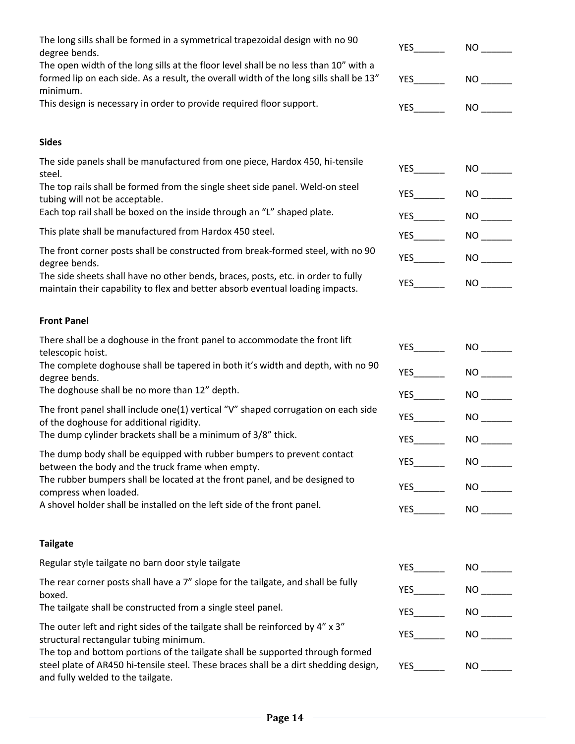| The long sills shall be formed in a symmetrical trapezoidal design with no 90<br>degree bends.                                                                                                             | <b>YES</b>              | NO <sub>1</sub> |
|------------------------------------------------------------------------------------------------------------------------------------------------------------------------------------------------------------|-------------------------|-----------------|
| The open width of the long sills at the floor level shall be no less than 10" with a<br>formed lip on each side. As a result, the overall width of the long sills shall be 13"<br>minimum.                 | <b>YES</b>              | NO <sub>1</sub> |
| This design is necessary in order to provide required floor support.                                                                                                                                       | $YES$ <sub>---</sub>    | NO <sub>2</sub> |
| <b>Sides</b>                                                                                                                                                                                               |                         |                 |
| The side panels shall be manufactured from one piece, Hardox 450, hi-tensile<br>steel.                                                                                                                     | $YES$ <sub>______</sub> | NO <sub>2</sub> |
| The top rails shall be formed from the single sheet side panel. Weld-on steel<br>tubing will not be acceptable.                                                                                            |                         | NO <sub>2</sub> |
| Each top rail shall be boxed on the inside through an "L" shaped plate.                                                                                                                                    | $YES$ <sub>---</sub>    | NO <sub>2</sub> |
| This plate shall be manufactured from Hardox 450 steel.                                                                                                                                                    |                         | NO <sub>2</sub> |
| The front corner posts shall be constructed from break-formed steel, with no 90<br>degree bends.                                                                                                           |                         | NO <sub>2</sub> |
| The side sheets shall have no other bends, braces, posts, etc. in order to fully<br>maintain their capability to flex and better absorb eventual loading impacts.                                          | YES                     | NO <sub>2</sub> |
| <b>Front Panel</b>                                                                                                                                                                                         |                         |                 |
| There shall be a doghouse in the front panel to accommodate the front lift<br>telescopic hoist.                                                                                                            | YES                     | NO <sub>2</sub> |
| The complete doghouse shall be tapered in both it's width and depth, with no 90<br>degree bends.                                                                                                           | $YES$ <sub>---</sub>    | NO <sub>1</sub> |
| The doghouse shall be no more than 12" depth.                                                                                                                                                              |                         | NO <sub>2</sub> |
| The front panel shall include one(1) vertical "V" shaped corrugation on each side<br>of the doghouse for additional rigidity.                                                                              | <b>YES</b>              | NO <sub>2</sub> |
| The dump cylinder brackets shall be a minimum of 3/8" thick.                                                                                                                                               | <b>YES</b>              | NO <sub>2</sub> |
| The dump body shall be equipped with rubber bumpers to prevent contact<br>between the body and the truck frame when empty.                                                                                 |                         | NO              |
| The rubber bumpers shall be located at the front panel, and be designed to<br>compress when loaded.                                                                                                        |                         | NO <sub>2</sub> |
| A shovel holder shall be installed on the left side of the front panel.                                                                                                                                    | YES                     | NO <sub>2</sub> |
| <b>Tailgate</b>                                                                                                                                                                                            |                         |                 |
| Regular style tailgate no barn door style tailgate                                                                                                                                                         | YES                     |                 |
| The rear corner posts shall have a 7" slope for the tailgate, and shall be fully<br>boxed.                                                                                                                 | YES                     |                 |
| The tailgate shall be constructed from a single steel panel.                                                                                                                                               | YES                     | NO              |
| The outer left and right sides of the tailgate shall be reinforced by 4" x 3"<br>structural rectangular tubing minimum.                                                                                    | YES                     | NO              |
| The top and bottom portions of the tailgate shall be supported through formed<br>steel plate of AR450 hi-tensile steel. These braces shall be a dirt shedding design,<br>and fully welded to the tailgate. | YES                     | NO <sub>2</sub> |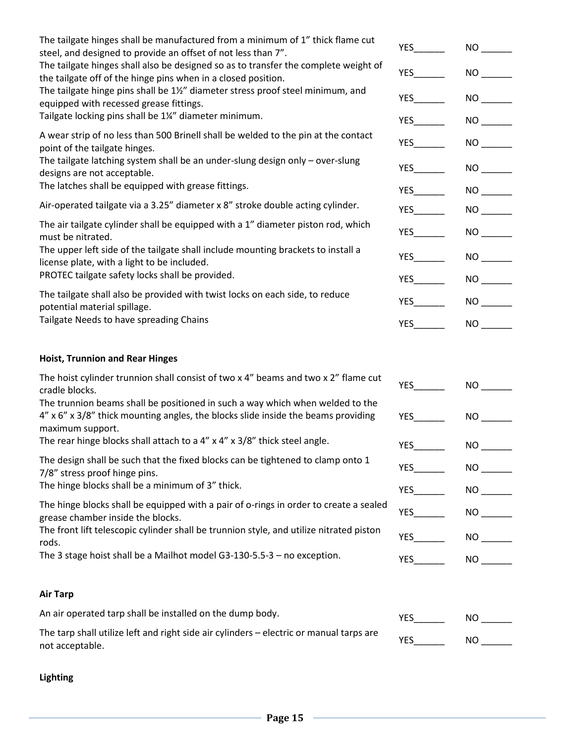| The tailgate hinges shall be manufactured from a minimum of 1" thick flame cut<br>steel, and designed to provide an offset of not less than 7".                                                                                | <b>YES</b>              | NO <sub>2</sub>       |
|--------------------------------------------------------------------------------------------------------------------------------------------------------------------------------------------------------------------------------|-------------------------|-----------------------|
| The tailgate hinges shall also be designed so as to transfer the complete weight of<br>the tailgate off of the hinge pins when in a closed position.                                                                           |                         | NO <sub>1</sub>       |
| The tailgate hinge pins shall be 1%" diameter stress proof steel minimum, and<br>equipped with recessed grease fittings.                                                                                                       |                         | NO <sub>2</sub>       |
| Tailgate locking pins shall be 1¼" diameter minimum.                                                                                                                                                                           | $YES$ ——                | NO <sub>2</sub>       |
| A wear strip of no less than 500 Brinell shall be welded to the pin at the contact<br>point of the tailgate hinges.                                                                                                            | $YES$ <sub>---</sub>    | NO <sub>2</sub>       |
| The tailgate latching system shall be an under-slung design only - over-slung<br>designs are not acceptable.                                                                                                                   | $YES$ <sub>---</sub>    | NO <sub>2</sub>       |
| The latches shall be equipped with grease fittings.                                                                                                                                                                            | $YES$ <sub>---</sub>    | NO <sub>2</sub>       |
| Air-operated tailgate via a 3.25" diameter x 8" stroke double acting cylinder.                                                                                                                                                 |                         | NO                    |
| The air tailgate cylinder shall be equipped with a 1" diameter piston rod, which<br>must be nitrated.                                                                                                                          | <b>YES</b>              | NO                    |
| The upper left side of the tailgate shall include mounting brackets to install a<br>license plate, with a light to be included.                                                                                                | <b>YES</b>              | NO <sub>2</sub>       |
| PROTEC tailgate safety locks shall be provided.                                                                                                                                                                                | $YES$ <sub>______</sub> | NO <sub>2</sub>       |
| The tailgate shall also be provided with twist locks on each side, to reduce<br>potential material spillage.                                                                                                                   |                         | NO <sub>2</sub>       |
| Tailgate Needs to have spreading Chains                                                                                                                                                                                        | <b>YES</b>              | NO <sub>2</sub>       |
| <b>Hoist, Trunnion and Rear Hinges</b>                                                                                                                                                                                         |                         |                       |
| The hoist cylinder trunnion shall consist of two x 4" beams and two x 2" flame cut<br>cradle blocks.                                                                                                                           | <b>YES</b>              | NO <sub>2</sub>       |
| The trunnion beams shall be positioned in such a way which when welded to the<br>4" x 6" x 3/8" thick mounting angles, the blocks slide inside the beams providing<br>maximum support.                                         | $YES$ ——                | NO <sub>1</sub>       |
| The rear hinge blocks shall attach to a $4''$ x $4''$ x $3/8''$ thick steel angle.                                                                                                                                             | $YES$ <sub>___</sub>    | $NO$ <sub>-----</sub> |
| The design shall be such that the fixed blocks can be tightened to clamp onto 1<br>7/8" stress proof hinge pins.                                                                                                               | <b>YES</b>              | NO <sub>2</sub>       |
| The hinge blocks shall be a minimum of 3" thick.                                                                                                                                                                               | <b>YES</b>              |                       |
| The hinge blocks shall be equipped with a pair of o-rings in order to create a sealed<br>grease chamber inside the blocks.<br>The front lift telescopic cylinder shall be trunnion style, and utilize nitrated piston<br>rods. | <b>YES</b>              | NO <sub>2</sub>       |
|                                                                                                                                                                                                                                |                         |                       |
| The 3 stage hoist shall be a Mailhot model G3-130-5.5-3 - no exception.                                                                                                                                                        | <b>YES</b>              | NO <sub>2</sub>       |
| <b>Air Tarp</b>                                                                                                                                                                                                                |                         |                       |
| An air operated tarp shall be installed on the dump body.                                                                                                                                                                      | <b>YES</b>              | NO <sub>1</sub>       |
| The tarp shall utilize left and right side air cylinders - electric or manual tarps are<br>not acceptable.                                                                                                                     | <b>YES</b>              | $NO$ <sub>---</sub>   |

## **Lighting**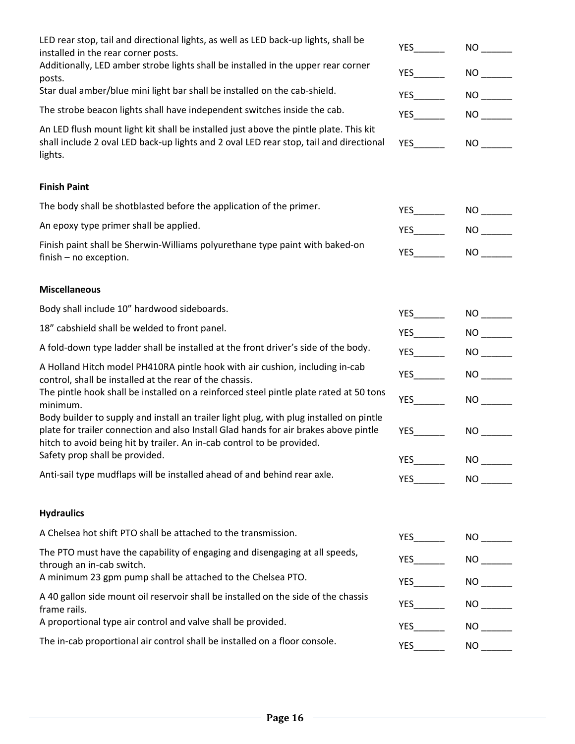| LED rear stop, tail and directional lights, as well as LED back-up lights, shall be<br>installed in the rear corner posts.                                                                                                                                                                                                                                      | <b>YES</b>   | NO <sub>2</sub>         |
|-----------------------------------------------------------------------------------------------------------------------------------------------------------------------------------------------------------------------------------------------------------------------------------------------------------------------------------------------------------------|--------------|-------------------------|
| Additionally, LED amber strobe lights shall be installed in the upper rear corner<br>posts.                                                                                                                                                                                                                                                                     |              | NO <sub>2</sub>         |
| Star dual amber/blue mini light bar shall be installed on the cab-shield.                                                                                                                                                                                                                                                                                       |              | NO <sub>2</sub>         |
| The strobe beacon lights shall have independent switches inside the cab.                                                                                                                                                                                                                                                                                        | YES          |                         |
| An LED flush mount light kit shall be installed just above the pintle plate. This kit<br>shall include 2 oval LED back-up lights and 2 oval LED rear stop, tail and directional<br>lights.                                                                                                                                                                      |              | NO <sub>2</sub>         |
| <b>Finish Paint</b>                                                                                                                                                                                                                                                                                                                                             |              |                         |
| The body shall be shotblasted before the application of the primer.                                                                                                                                                                                                                                                                                             | YES          | NO <sub>2</sub>         |
| An epoxy type primer shall be applied.                                                                                                                                                                                                                                                                                                                          | YES          | NO <sub>2</sub>         |
| Finish paint shall be Sherwin-Williams polyurethane type paint with baked-on<br>finish - no exception.                                                                                                                                                                                                                                                          | YES          | NO <sub>2</sub>         |
| <b>Miscellaneous</b>                                                                                                                                                                                                                                                                                                                                            |              |                         |
| Body shall include 10" hardwood sideboards.                                                                                                                                                                                                                                                                                                                     |              | NO <sub>2</sub>         |
| 18" cabshield shall be welded to front panel.                                                                                                                                                                                                                                                                                                                   | YES          | NO <sub>2</sub>         |
| A fold-down type ladder shall be installed at the front driver's side of the body.                                                                                                                                                                                                                                                                              |              | $NO$ <sub>-------</sub> |
| A Holland Hitch model PH410RA pintle hook with air cushion, including in-cab<br>control, shall be installed at the rear of the chassis.                                                                                                                                                                                                                         | YES          |                         |
| The pintle hook shall be installed on a reinforced steel pintle plate rated at 50 tons<br>minimum.<br>Body builder to supply and install an trailer light plug, with plug installed on pintle<br>plate for trailer connection and also Install Glad hands for air brakes above pintle<br>hitch to avoid being hit by trailer. An in-cab control to be provided. | YES          | NO <sub>2</sub>         |
|                                                                                                                                                                                                                                                                                                                                                                 | <b>YES</b>   | NO <sub>2</sub>         |
| Safety prop shall be provided.                                                                                                                                                                                                                                                                                                                                  | <b>YES</b>   | NO <sub>2</sub>         |
| Anti-sail type mudflaps will be installed ahead of and behind rear axle.                                                                                                                                                                                                                                                                                        | YES $\qquad$ | NO <sub>2</sub>         |
| <b>Hydraulics</b>                                                                                                                                                                                                                                                                                                                                               |              |                         |
| A Chelsea hot shift PTO shall be attached to the transmission.                                                                                                                                                                                                                                                                                                  |              |                         |
| The PTO must have the capability of engaging and disengaging at all speeds,<br>through an in-cab switch.                                                                                                                                                                                                                                                        | <b>YES</b>   | NO <sub>2</sub>         |
| A minimum 23 gpm pump shall be attached to the Chelsea PTO.                                                                                                                                                                                                                                                                                                     | YES          |                         |
| A 40 gallon side mount oil reservoir shall be installed on the side of the chassis<br>frame rails.                                                                                                                                                                                                                                                              | <b>YES</b>   | NO <sub>2</sub>         |
| A proportional type air control and valve shall be provided.                                                                                                                                                                                                                                                                                                    | YES          | NO <sub>2</sub>         |
| The in-cab proportional air control shall be installed on a floor console.                                                                                                                                                                                                                                                                                      | YES          |                         |